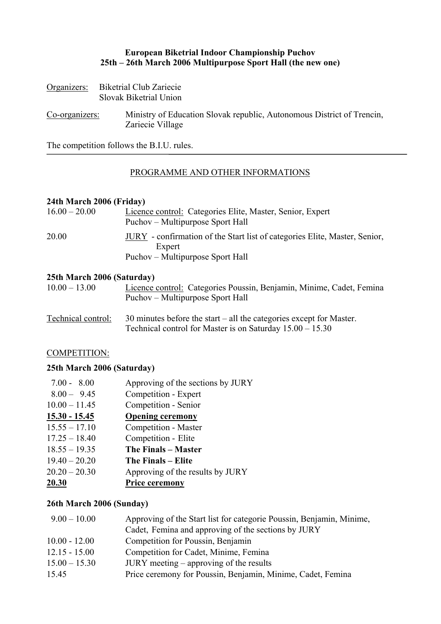# **European Biketrial Indoor Championship Puchov 25th – 26th March 2006 Multipurpose Sport Hall (the new one)**

| Organizers:    | <b>Biketrial Club Zariecie</b><br>Slovak Biketrial Union                                   |  |
|----------------|--------------------------------------------------------------------------------------------|--|
| Co-organizers: | Ministry of Education Slovak republic, Autonomous District of Trencin,<br>Zariecie Village |  |

The competition follows the B.I.U. rules.

## PROGRAMME AND OTHER INFORMATIONS

# **24th March 2006 (Friday)**

| $16.00 - 20.00$ | Licence control: Categories Elite, Master, Senior, Expert<br>Puchov – Multipurpose Sport Hall                            |
|-----------------|--------------------------------------------------------------------------------------------------------------------------|
| 20.00           | JURY - confirmation of the Start list of categories Elite, Master, Senior,<br>Expert<br>Puchov – Multipurpose Sport Hall |

#### **25th March 2006 (Saturday)**

| $10.00 - 13.00$ | Licence control: Categories Poussin, Benjamin, Minime, Cadet, Femina |
|-----------------|----------------------------------------------------------------------|
|                 | Puchov – Multipurpose Sport Hall                                     |

Technical control: 30 minutes before the start – all the categories except for Master. Technical control for Master is on Saturday 15.00 – 15.30

# COMPETITION:

#### **25th March 2006 (Saturday)**

| $7.00 - 8.00$   | Approving of the sections by JURY |
|-----------------|-----------------------------------|
| $8.00 - 9.45$   | Competition - Expert              |
| $10.00 - 11.45$ | Competition - Senior              |
| $15.30 - 15.45$ | <b>Opening ceremony</b>           |
| $15.55 - 17.10$ | <b>Competition - Master</b>       |
| $17.25 - 18.40$ | Competition - Elite               |
| $18.55 - 19.35$ | The Finals – Master               |
| $19.40 - 20.20$ | The Finals – Elite                |
| $20.20 - 20.30$ | Approving of the results by JURY  |
| 20.30           | <b>Price ceremony</b>             |

# **26th March 2006 (Sunday)**

| $9.00 - 10.00$  | Approving of the Start list for categorie Poussin, Benjamin, Minime, |
|-----------------|----------------------------------------------------------------------|
|                 | Cadet, Femina and approving of the sections by JURY                  |
| $10.00 - 12.00$ | Competition for Poussin, Benjamin                                    |
| $12.15 - 15.00$ | Competition for Cadet, Minime, Femina                                |
| $15.00 - 15.30$ | $JURY$ meeting – approving of the results                            |
| 15.45           | Price ceremony for Poussin, Benjamin, Minime, Cadet, Femina          |